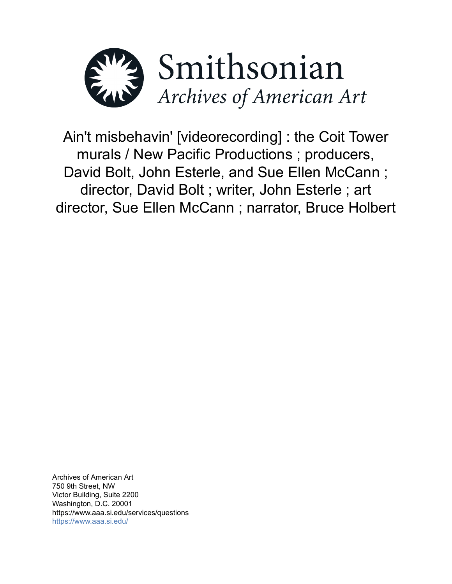

Ain't misbehavin' [videorecording] : the Coit Tower murals / New Pacific Productions ; producers, David Bolt, John Esterle, and Sue Ellen McCann ; director, David Bolt ; writer, John Esterle ; art director, Sue Ellen McCann ; narrator, Bruce Holbert

Archives of American Art 750 9th Street, NW Victor Building, Suite 2200 Washington, D.C. 20001 https://www.aaa.si.edu/services/questions <https://www.aaa.si.edu/>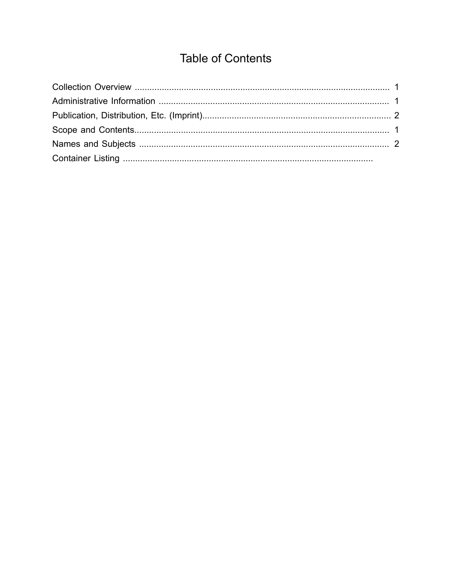# **Table of Contents**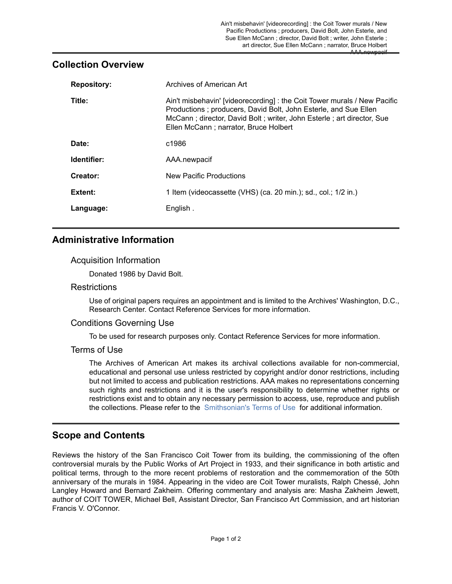## <span id="page-2-0"></span>**Collection Overview**

| <b>Repository:</b> | Archives of American Art                                                                                                                                                                                                                                      |
|--------------------|---------------------------------------------------------------------------------------------------------------------------------------------------------------------------------------------------------------------------------------------------------------|
| Title:             | Ain't misbehavin' [videorecording] : the Coit Tower murals / New Pacific<br>Productions; producers, David Bolt, John Esterle, and Sue Ellen<br>McCann; director, David Bolt; writer, John Esterle; art director, Sue<br>Ellen McCann; narrator, Bruce Holbert |
| Date:              | c1986                                                                                                                                                                                                                                                         |
| Identifier:        | AAA.newpacif                                                                                                                                                                                                                                                  |
| Creator:           | New Pacific Productions                                                                                                                                                                                                                                       |
| Extent:            | 1 Item (videocassette (VHS) (ca. 20 min.); sd., col.; 1/2 in.)                                                                                                                                                                                                |
| Language:          | English.                                                                                                                                                                                                                                                      |

# <span id="page-2-1"></span>**Administrative Information**

### Acquisition Information

Donated 1986 by David Bolt.

#### **Restrictions**

Use of original papers requires an appointment and is limited to the Archives' Washington, D.C., Research Center. Contact Reference Services for more information.

#### Conditions Governing Use

To be used for research purposes only. Contact Reference Services for more information.

### Terms of Use

The Archives of American Art makes its archival collections available for non-commercial, educational and personal use unless restricted by copyright and/or donor restrictions, including but not limited to access and publication restrictions. AAA makes no representations concerning such rights and restrictions and it is the user's responsibility to determine whether rights or restrictions exist and to obtain any necessary permission to access, use, reproduce and publish the collections. Please refer to the [Smithsonian's](https://www.si.edu/termsofuse) Terms of Use for additional information.

# <span id="page-2-2"></span>**Scope and Contents**

Reviews the history of the San Francisco Coit Tower from its building, the commissioning of the often controversial murals by the Public Works of Art Project in 1933, and their significance in both artistic and political terms, through to the more recent problems of restoration and the commemoration of the 50th anniversary of the murals in 1984. Appearing in the video are Coit Tower muralists, Ralph Chessé, John Langley Howard and Bernard Zakheim. Offering commentary and analysis are: Masha Zakheim Jewett, author of COIT TOWER, Michael Bell, Assistant Director, San Francisco Art Commission, and art historian Francis V. O'Connor.